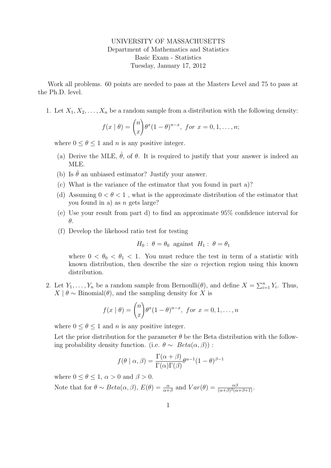UNIVERSITY OF MASSACHUSETTS Department of Mathematics and Statistics Basic Exam - Statistics Tuesday, January 17, 2012

Work all problems. 60 points are needed to pass at the Masters Level and 75 to pass at the Ph.D. level.

1. Let  $X_1, X_2, \ldots, X_n$  be a random sample from a distribution with the following density:

$$
f(x | \theta) = {n \choose x} \theta^x (1 - \theta)^{n-x}, \text{ for } x = 0, 1, \dots, n;
$$

where  $0 \leq \theta \leq 1$  and *n* is any positive integer.

- (a) Derive the MLE,  $\hat{\theta}$ , of  $\theta$ . It is required to justify that your answer is indeed an MLE.
- (b) Is  $\hat{\theta}$  an unbiased estimator? Justify your answer.
- (c) What is the variance of the estimator that you found in part a)?
- (d) Assuming  $0 < \theta < 1$ , what is the approximate distribution of the estimator that you found in a) as n gets large?
- (e) Use your result from part d) to find an approximate 95% confidence interval for θ.
- (f) Develop the likehood ratio test for testing

$$
H_0: \theta = \theta_0
$$
 against  $H_1: \theta = \theta_1$ 

where  $0 < \theta_0 < \theta_1 < 1$ . You must reduce the test in term of a statistic with known distribution, then describe the size  $\alpha$  rejection region using this known distribution.

2. Let  $Y_1, \ldots, Y_n$  be a random sample from Bernoulli( $\theta$ ), and define  $X = \sum_{i=1}^n Y_i$ . Thus,  $X | \theta \sim \text{Binomial}(\theta)$ , and the sampling density for X is

$$
f(x | \theta) = {n \choose x} \theta^x (1 - \theta)^{n - x}, \text{ for } x = 0, 1, \dots, n
$$

where  $0 \le \theta \le 1$  and *n* is any positive integer.

Let the prior distribution for the parameter  $\theta$  be the Beta distribution with the following probability density function. (i.e.  $\theta \sim Beta(\alpha, \beta)$ ):

$$
f(\theta \mid \alpha, \beta) = \frac{\Gamma(\alpha + \beta)}{\Gamma(\alpha)\Gamma(\beta)} \theta^{\alpha - 1} (1 - \theta)^{\beta - 1}
$$

where  $0 \le \theta \le 1$ ,  $\alpha > 0$  and  $\beta > 0$ .

Note that for  $\theta \sim Beta(\alpha, \beta), E(\theta) = \frac{\alpha}{\alpha + \beta}$  and  $Var(\theta) = \frac{\alpha\beta}{(\alpha + \beta)^2(\alpha + \beta + 1)}$ .